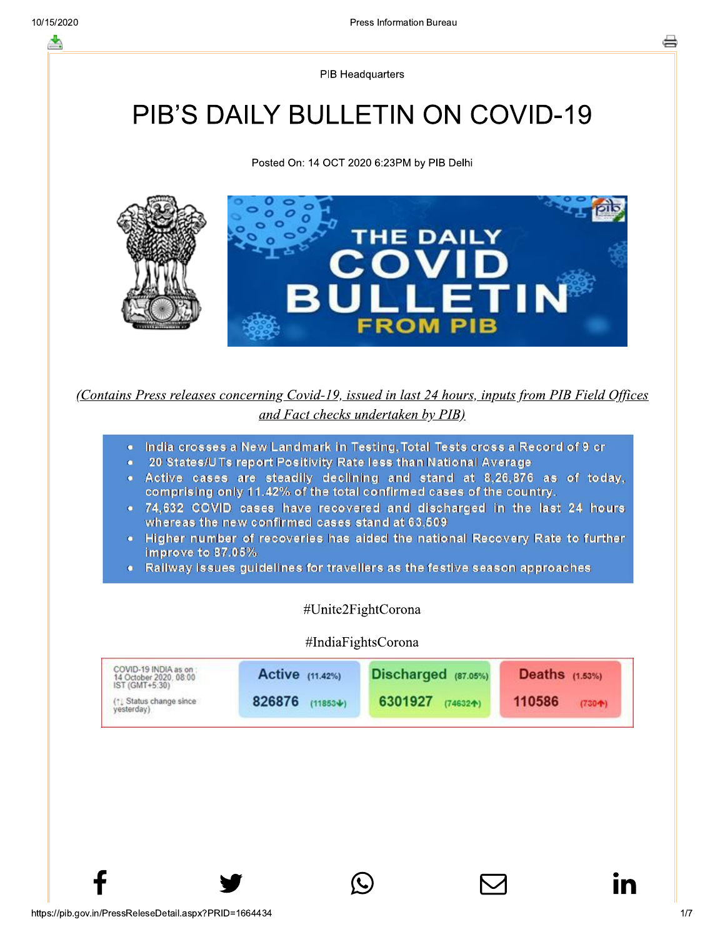**PIB Headquarters** 

# **PIB'S DAILY BULLETIN ON COVID-19**

Posted On: 14 OCT 2020 6:23PM by PIB Delhi



(Contains Press releases concerning Covid-19, issued in last 24 hours, inputs from PIB Field Offices and Fact checks undertaken by PIB)

- . India crosses a New Landmark in Testing, Total Tests cross a Record of 9 cr
- 20 States/UTs report Positivity Rate less than National Average  $\bullet$
- . Active cases are steadily declining and stand at 8.26.876 as of today. comprising only 11.42% of the total confirmed cases of the country.
- . 74,632 COVID cases have recovered and discharged in the last 24 hours whereas the new confirmed cases stand at 63,509
- Higher number of recoveries has aided the national Recovery Rate to further improve to 87.05%
- Railway issues guidelines for travellers as the festive season approaches

#### #Unite2FightCorona

#### #IndiaFightsCorona

| COVID-19 INDIA as on:<br>14 October 2020, 08:00<br>IST (GMT+5:30) | Active (11.42%) | Discharged (87.05%) | Deaths $(1.53\%)$ |  |
|-------------------------------------------------------------------|-----------------|---------------------|-------------------|--|
| <sup>(1</sup> ) Status change since                               | 826876          | 6301927             | 110586            |  |
| vesterday)                                                        | $(11853 + )$    | $(74632 + )$        | $(730 + )$        |  |

In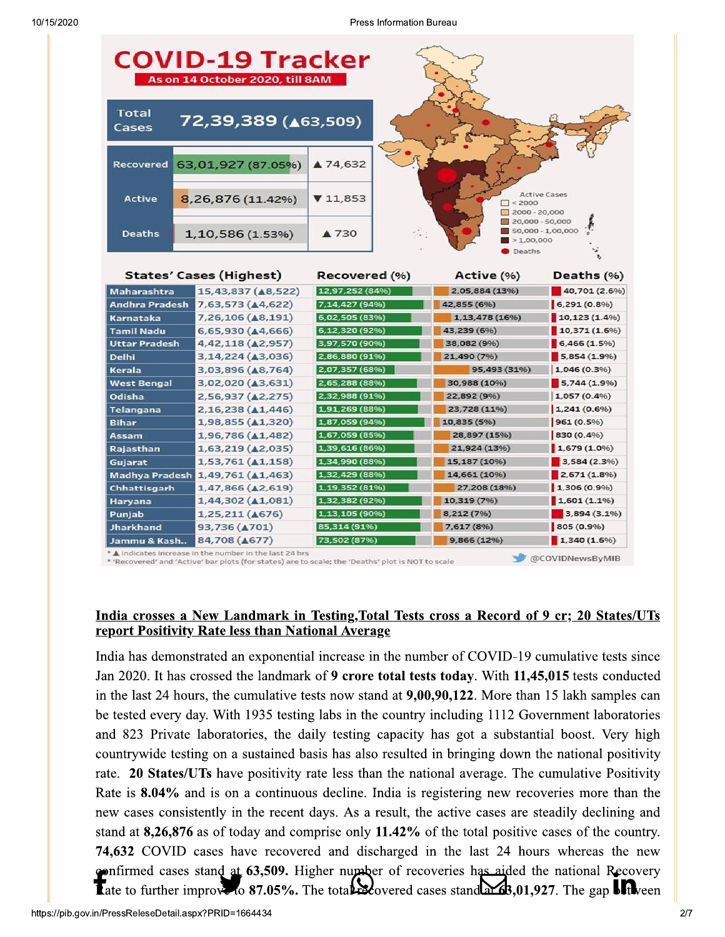Press Information Bureau

| <b>COVID-19 Tracker</b><br>As on 14 October 2020, till 8AM |                                  |                                                                   |                                                                                  |                |  |  |  |
|------------------------------------------------------------|----------------------------------|-------------------------------------------------------------------|----------------------------------------------------------------------------------|----------------|--|--|--|
| Total<br>Cases                                             | 72,39,389 ( $\triangle$ 63,509)  |                                                                   |                                                                                  |                |  |  |  |
| <b>Recovered</b>                                           | 63,01,927 (87.05%)               | ▲ 74,632                                                          |                                                                                  |                |  |  |  |
| <b>Active</b>                                              | 8,26,876 (11.42%)                | <b>Active Cases</b><br>71,853<br>$\Box$ < 2000<br>$2000 - 20,000$ |                                                                                  |                |  |  |  |
| <b>Deaths</b>                                              | 1,10,586 (1.53%)                 | ▲ 730                                                             | 20,000 - 50,000<br>50,000 - 1,00,000<br>$\blacktriangleright$ 1,00,000<br>Deaths |                |  |  |  |
| <b>States' Cases (Highest)</b>                             |                                  | Recovered (%)                                                     | Active (%)                                                                       | Deaths (%)     |  |  |  |
| Maharashtra                                                | 15,43,837 ( $\triangle$ 8,522)   | 12,97,252 (84%)                                                   | 2,05,884 (13%)                                                                   | 40,701 (2.6%)  |  |  |  |
| Andhra Pradesh                                             | 7,63,573 ( $\triangle$ 4,622)    | 7,14,427 (94%)                                                    | 42,855 (6%)                                                                      | $6,291(0.8\%)$ |  |  |  |
| Karnataka                                                  | 7,26,106 (48,191)                | 6,02,505 (83%)                                                    | 1, 13, 478 (16%)                                                                 | 10,123(1.496)  |  |  |  |
| <b>Tamil Nadu</b>                                          | 6,65,930 (44,666)                | 6,12,320 (92%)                                                    | 43,239 (6%)                                                                      | 10,371(1.6%)   |  |  |  |
| <b>Uttar Pradesh</b>                                       | 4,42,118 ( $\triangle$ 2,957)    | 3,97,570 (90%)                                                    | 38,082 (9%)                                                                      | $6,466(1.5\%)$ |  |  |  |
| <b>Delhi</b>                                               | 3,14,224 ( $\triangle$ 3,036)    | 2,86,880 (91%)                                                    | 21,490 (7%)                                                                      | 5,854(1.9%)    |  |  |  |
| Kerala                                                     | 3,03,896 ( $\triangle$ 8,764)    | 2,07,357 (68%)                                                    | 95,493 (31%)                                                                     | $1,046(0.3\%)$ |  |  |  |
| <b>West Bengal</b>                                         | 3,02,020 ( $\triangle$ 3,631)    | 2,65,288 (88%)                                                    | 30,988 (10%)                                                                     | 5,744(1.9%)    |  |  |  |
| Odisha                                                     | 2,56,937 ( $\triangle$ 2,275)    | 2,32,988 (91%)                                                    | 22,892 (9%)                                                                      | 1,057 (0.4%)   |  |  |  |
| Telangana                                                  | 2,16,238 ( $\triangle$ 1,446)    | 1,91,269 (88%)                                                    | 23,728 (11%)                                                                     | 1,241(0.6%     |  |  |  |
| Bihar                                                      | 1,98,855 ( $\triangle$ 1,320)    | 1,87,059 (94%)                                                    | 10,835 (5%)                                                                      | 961(0.5%)      |  |  |  |
| Assam                                                      | 1,96,786 ( $\triangle$ 1,482)    | 1,67,059 (85%)                                                    | 28,897 (15%)                                                                     | 830 (0.4%)     |  |  |  |
| Rajasthan                                                  | 1,63,219 (42,035)                | 1,39,616 (86%)                                                    | 21,924 (13%)                                                                     | $1,679(1.0\%)$ |  |  |  |
| Gujarat                                                    | $1,53,761$ ( $\triangle 1,158$ ) | 1,34,990 (88%)                                                    | 15,187 (10%)                                                                     | 3,584 (2.3%)   |  |  |  |
|                                                            | Madhya Pradesh 1,49,761 (A1,463) | 1,32,429 (88%)                                                    | 14,661 (10%)                                                                     | 2,671(1.8%)    |  |  |  |
| Chhattisgarh                                               | $1,47,866$ ( $\triangle$ 2,619)  | 1,19,352 (81%)                                                    | 27,208 (18%)                                                                     | 1,306(0.9%)    |  |  |  |
| Haryana                                                    | 1,44,302 ( $\triangle 1,081$ )   | 1,32,382 (92%)                                                    | 10,319 (7%)                                                                      | 1,601(1.196)   |  |  |  |
| Punjab                                                     | $1,25,211$ ( $\triangle 676$ )   | 1,13,105 (90%)                                                    | 8,212 (7%)                                                                       | 3,894 (3.1%)   |  |  |  |
| Jharkhand                                                  | 93,736 ( $\triangle$ 701)        | 85,314 (91%)                                                      | 7,617 (8%)                                                                       | 805 (0.9%)     |  |  |  |
| Jammu & Kash                                               | 84,708 ( $\triangle$ 677)        | 73,502 (87%)                                                      | 9,866(12%)                                                                       | 1,340(1.6%)    |  |  |  |

A indicates increase in the number in the last 24 hrs

'Recovered' and 'Active' bar plots (for states) are to scale; the 'Deaths' plot is NOT to scale

#### India crosses a New Landmark in Testing, Total Tests cross a Record of 9 cr; 20 States/UTs report Positivity Rate less than National Average

India has demonstrated an exponential increase in the number of COVID-19 cumulative tests since Jan 2020. It has crossed the landmark of 9 crore total tests today. With 11,45,015 tests conducted in the last 24 hours, the cumulative tests now stand at  $9,00,90,122$ . More than 15 lakh samples can be tested every day. With 1935 testing labs in the country including 1112 Government laboratories and 823 Private laboratories, the daily testing capacity has got a substantial boost. Very high countrywide testing on a sustained basis has also resulted in bringing down the national positivity rate. 20 States/UTs have positivity rate less than the national average. The cumulative Positivity Rate is 8.04% and is on a continuous decline. India is registering new recoveries more than the new cases consistently in the recent days. As a result, the active cases are steadily declining and stand at  $8,26,876$  as of today and comprise only 11.42% of the total positive cases of the country. **74,632** COVID cases have recovered and discharged in the last 24 hours whereas the new confirmed cases stand at 63,509. Higher number of recoveries has aided the national Recovery Tate to further improve to 87.05%. The total exported cases stand  $\Delta 63,01,927$ . The gap  $\blacksquare$ 

@COVIDNewsByMIB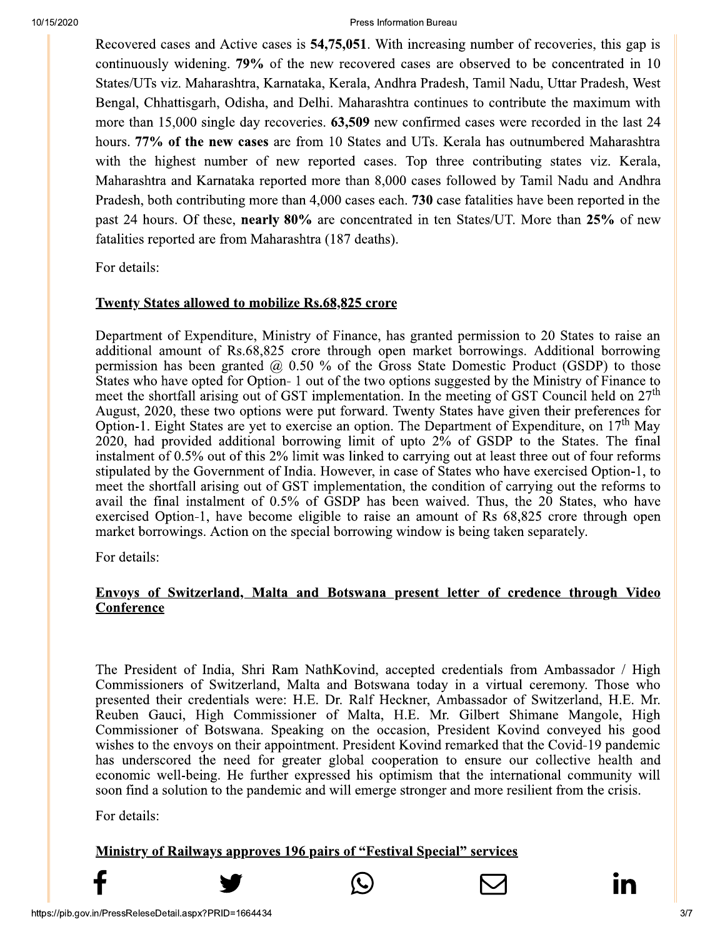#### Press Information Bureau

Recovered cases and Active cases is 54,75,051. With increasing number of recoveries, this gap is continuously widening. 79% of the new recovered cases are observed to be concentrated in 10 States/UTs viz. Maharashtra, Karnataka, Kerala, Andhra Pradesh, Tamil Nadu, Uttar Pradesh, West Bengal, Chhattisgarh, Odisha, and Delhi. Maharashtra continues to contribute the maximum with more than 15,000 single day recoveries. 63,509 new confirmed cases were recorded in the last 24 hours. 77% of the new cases are from 10 States and UTs. Kerala has outnumbered Maharashtra with the highest number of new reported cases. Top three contributing states viz. Kerala, Maharashtra and Karnataka reported more than 8,000 cases followed by Tamil Nadu and Andhra Pradesh, both contributing more than 4,000 cases each. 730 case fatalities have been reported in the past 24 hours. Of these, nearly 80% are concentrated in ten States/UT. More than 25% of new fatalities reported are from Maharashtra (187 deaths).

For details:

#### **Twenty States allowed to mobilize Rs.68,825 crore**

Department of Expenditure, Ministry of Finance, has granted permission to 20 States to raise an additional amount of Rs.68,825 crore through open market borrowings. Additional borrowing permission has been granted  $(20, 0.50)$  % of the Gross State Domestic Product (GSDP) to those States who have opted for Option-1 out of the two options suggested by the Ministry of Finance to meet the shortfall arising out of GST implementation. In the meeting of GST Council held on 27<sup>th</sup> August, 2020, these two options were put forward. Twenty States have given their preferences for Option-1. Eight States are yet to exercise an option. The Department of Expenditure, on  $17<sup>th</sup>$  May 2020, had provided additional borrowing limit of upto 2% of GSDP to the States. The final instalment of 0.5% out of this 2% limit was linked to carrying out at least three out of four reforms stipulated by the Government of India. However, in case of States who have exercised Option-1, to meet the shortfall arising out of GST implementation, the condition of carrying out the reforms to avail the final instalment of 0.5% of GSDP has been waived. Thus, the 20 States, who have exercised Option-1, have become eligible to raise an amount of Rs 68,825 crore through open market borrowings. Action on the special borrowing window is being taken separately.

For details:

## Envoys of Switzerland, Malta and Botswana present letter of credence through Video Conference

The President of India, Shri Ram NathKovind, accepted credentials from Ambassador / High Commissioners of Switzerland, Malta and Botswana today in a virtual ceremony. Those who presented their credentials were: H.E. Dr. Ralf Heckner, Ambassador of Switzerland, H.E. Mr. Reuben Gauci, High Commissioner of Malta, H.E. Mr. Gilbert Shimane Mangole, High Commissioner of Botswana. Speaking on the occasion, President Kovind conveyed his good wishes to the envoys on their appointment. President Kovind remarked that the Covid-19 pandemic has underscored the need for greater global cooperation to ensure our collective health and economic well-being. He further expressed his optimism that the international community will soon find a solution to the pandemic and will emerge stronger and more resilient from the crisis.

For details:

### **Ministry of Railways approves 196 pairs of "Festival Special" services**

In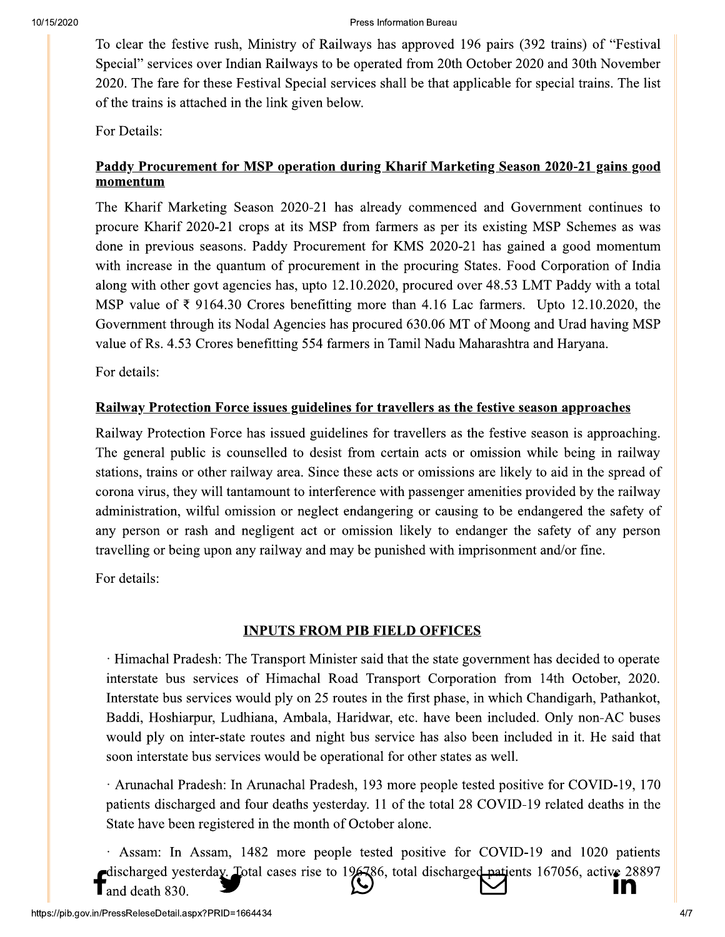To clear the festive rush, Ministry of Railways has approved 196 pairs (392 trains) of "Festival" Special" services over Indian Railways to be operated from 20th October 2020 and 30th November 2020. The fare for these Festival Special services shall be that applicable for special trains. The list of the trains is attached in the link given below.

For Details:

## Paddy Procurement for MSP operation during Kharif Marketing Season 2020-21 gains good momentum

The Kharif Marketing Season 2020-21 has already commenced and Government continues to procure Kharif 2020-21 crops at its MSP from farmers as per its existing MSP Schemes as was done in previous seasons. Paddy Procurement for KMS 2020-21 has gained a good momentum with increase in the quantum of procurement in the procuring States. Food Corporation of India along with other govt agencies has, upto 12.10.2020, procured over 48.53 LMT Paddy with a total MSP value of  $\bar{\xi}$  9164.30 Crores benefitting more than 4.16 Lac farmers. Upto 12.10.2020, the Government through its Nodal Agencies has procured 630.06 MT of Moong and Urad having MSP value of Rs. 4.53 Crores benefitting 554 farmers in Tamil Nadu Maharashtra and Haryana.

For details:

# Railway Protection Force issues guidelines for travellers as the festive season approaches

Railway Protection Force has issued guidelines for travellers as the festive season is approaching. The general public is counselled to desist from certain acts or omission while being in railway stations, trains or other railway area. Since these acts or omissions are likely to aid in the spread of corona virus, they will tantamount to interference with passenger amenities provided by the railway administration, wilful omission or neglect endangering or causing to be endangered the safety of any person or rash and negligent act or omission likely to endanger the safety of any person travelling or being upon any railway and may be punished with imprisonment and/or fine.

For details:

# **INPUTS FROM PIB FIELD OFFICES**

· Himachal Pradesh: The Transport Minister said that the state government has decided to operate interstate bus services of Himachal Road Transport Corporation from 14th October, 2020. Interstate bus services would ply on 25 routes in the first phase, in which Chandigarh, Pathankot, Baddi, Hoshiarpur, Ludhiana, Ambala, Haridwar, etc. have been included. Only non-AC buses would ply on inter-state routes and night bus service has also been included in it. He said that soon interstate bus services would be operational for other states as well.

· Arunachal Pradesh: In Arunachal Pradesh, 193 more people tested positive for COVID-19, 170 patients discharged and four deaths yesterday. 11 of the total 28 COVID-19 related deaths in the State have been registered in the month of October alone.

· Assam: In Assam, 1482 more people tested positive for COVID-19 and 1020 patients discharged yesterday. Lotal cases rise to 196786, total discharged patients 167056, active 28897 IN and death 830.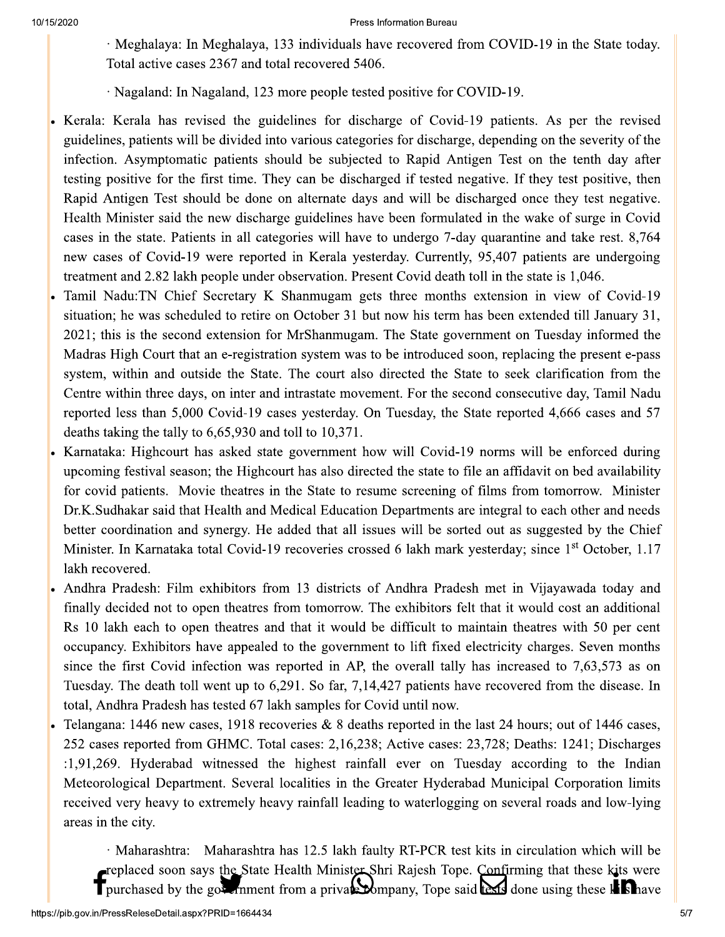#### Press information Bureau

- $\cdot$  Meghalaya: In Meghalaya, 133 individuals have recovered from COVID-19 in the State today. Total active cases  $236/$  and total recovered  $5406.$
- $\cdot$  Nagaland: In Nagaland, 123 more people tested positive for COVID-19.
- <sup>10/15/2020</sup><br>
Weghalaya: In Meghalay<br>
Total active cases 2367 and<br>
Nagaland: In Nagaland, 1<br>
Kerala: Kerala has revised the<br>
guidelines, patients will be divided<br>
infection. Asymptomatic patients<br>
testing positive for the <sup>2020</sup><br>
Weghalaya: In Meghalaya, 133 individu<br>
Total active cases 2367 and total recovere<br>
Nagaland: In Nagaland, 123 more people<br>
Kerala: Kerala has revised the guidelines for<br>
guidelines, patients will be divided into va Kerala: Kerala has revised the guidelines for discharge of Covid-19 patients. As per the revised guidelines, patients will be divided into various categories for discharge, depending on the severity of the infection. Asymptomatic patients should be subjected to Rapid Antigen Test on the tenth day after testing positive for the first time. They can be discharged if tested negative. If they test positive, then Rapid Antigen Test should be done on alternate days and will be discharged once they test negative. Health Minister said the new discharge guidelines have been formulated in the wake of surge in Covid Nagaland: In Nagaland.<br>
Kerala: Kerala has revised the<br>
guidelines, patients will be divid<br>
infection. Asymptomatic patien<br>
testing positive for the first tim<br>
Rapid Antigen Test should be a<br>
Health Minister said the new d cases in the state. Patients in all categories will have to undergo  $/$ -day quarantine and take rest.  $8, / 64$ new cases of Covid-19 were reported in Kerala yesterday. Currently, 95,407 patients are undergoing treatment and 2.82 lakh people under observation. Present Covid death toll in the state is 1,046.
- Tamil Nadu: IN Chief Secretary K Shanmugam gets three months extension in view of Covid-19  $\frac{1}{2}$ situation; he was scheduled to retire on October 31 but now his term has been extended till January 31,  $2021$ ; this is the second extension for MrShanmugam. The State government on Tuesday informed the 1 rest should be done on alternate days and will<br>er said the new discharge guidelines have been fo<br>ate. Patients in all categories will have to underg<br>Covid-19 were reported in Kerala yesterday. Ct<br>2.82 lakh people under o Freatur Minister said the<br>cases in the state. Patien<br>new cases of Covid-19<br>treatment and 2.82 lakh p<br>Tamil Nadu:TN Chief !<br>situation; he was schedu<br>2021; this is the second<br>Madras High Court that<br>system, within and outs<br>Ce High Court that an e-registration system was to be introduced soon, replacing the present e-pass system, within and outside the State. The court also directed the State to seek clarification from the Centre within three days, on inter and intrastate movement. For the second consecutive day, Tamil Nadu reported less than 5,000 Covid-19 cases yesterday. On Tuesday, the State reported 4,666 cases and 5/ deaths taking the tally to  $6,65,930$  and toll to  $10,3/1$ .
- Karnataka: Highcourt has asked state government how will Covid-19 norms will be enforced during upcoming festival season; the Highcourt has also directed the state to file an affidavit on bed availability for covid patients. Movie theatres in the State to resume screening of films from tomorrow. No Madras High Court that an e-registration systam, within and outside the State. The coeffice within three days, on inter and intrast reported less than 5,000 Covid-19 cases yes deaths taking the tally to 6,65,930 and toll t soon, replacing the present e-pass<br>te to seek clarification from the<br>ond consecutive day, Tamil Nadu<br>tate reported 4,666 cases and 57<br>) norms will be enforced during<br>le an affidavit on bed availability<br>f films from tomorro Dr.K.Sudhakar said that Health and Medical Education Departments are integral to each other and needs film and outside the state. The court also direct<br>in three days, on inter and intrastate movement. If<br>ss than 5,000 Covid-19 cases yesterday. On Tues<br>ig the tally to 6,65,930 and toll to 10,371.<br>Highcourt has asked state g better coordination and synergy. He added that all issues will be sorted out as suggested by the Chief reported less than 3,000<br>deaths taking the tally to<br>Karnataka: Highcourt ha<br>upcoming festival seasor<br>for covid patients. Mov<br>Dr.K.Sudhakar said that<br>better coordination and s<br>Minister. In Karnataka to<br>lakh recovered.<br>Andhr In Karnataka total Covid-19 recoveries crossed 6 lakh mark yesterday; since 1<sup>st</sup> October, 1.17 lakh recovered.
	- Andhra Pradesh: Film exhibitors from 13 districts of Andhra Pradesh met in Vijayawada today and finally decided not to open theatres from tomorrow. The exhibitors felt that it would cost an additional Rs 10 lakh each to open theatres and that it would be difficult to maintain theatres with 50 per cent occupancy. Exhibitors have appealed to the government to lift fixed electricity charges. Seven months since the first Covid infection was reported in AP, the overall tally has increased to  $7,63,573$  as on Tuesday. The death foll went up to  $6,291$ . So far,  $7,14,427$  patients have recovered from the disease. In total, Andhra Pradesh has tested 6/lakh samples for Covid until now.
- Telangana: 1446 new cases, 1918 recoveries  $\&$  8 deaths reported in the last 24 hours; out of 1446 cases, 252 cases reported from GHMC. Total cases: 2,16,238; Active cases: 23,728; Deaths: 1241; Discharges It is a set of the control of the control of the control of the control of the control of the control of the first Covid infection was reported in AP, sday. The death toll went up to 6,291. So far, 7,1<br>I, Andhra Pradesh ha  $(1,91,269.$  Hyderabad witnessed the highest rainfall ever on Tuesday according to the Indian occupancy. Exhibitors has<br>
since the first Covid inf<br>
Tuesday. The death toll<br>
total, Andhra Pradesh has<br>
Plangana: 1446 new cas<br>
252 cases reported from<br>
:1,91,269. Hyderabad<br>
Meteorological Departm<br>
received very heavy t Department. Several localities in the Greater Hyderabad Municipal Corporation limits Filment to fit fixed electricity charges. Seven model AP, the overall tally has increased to 7,63,573 a 7,14,427 patients have recovered from the diseasure of Covid until now.<br>deaths reported in the last 24 hours; out of received very heavy to extremely heavy rainfall leading to waterlogging on several roads and low-lying areas in the city. • Telangana: 1446 new cases, 1918<br>
252 cases reported from GHMC.<br>
:1,91,269. Hyderabad witnessed<br>
Meteorological Department. Seve<br>
received very heavy to extremely<br>
areas in the city.<br>
Maharashtra: Maharashtra: Maharashtra Telangana: 1446 new cases, 1918 recoveries & 8<br>
252 cases reported from GHMC. Total cases: 2,1<br>
:1,91,269. Hyderabad witnessed the highest<br>
Meteorological Department. Several localities in<br>
received very heavy to extremely from GHMC. Total cases: 2,16,238; Active cases<br>
bad witnessed the highest rainfall ever on 7<br>
partment. Several localities in the Greater Hyder<br>
y to extremely heavy rainfall leading to waterlogg<br>
ra: Maharashtra has 12.5

 $\cdot$  Maharashtra: Maharashtra has 12.5 lakh faulty RT-PCR test kits in circulation which will be replaced soon says the State Health Minister Shri Rajesh Tope. Confirming that these kits were T purchased by the got chiment from a prival company, Tope said texts done using these kishave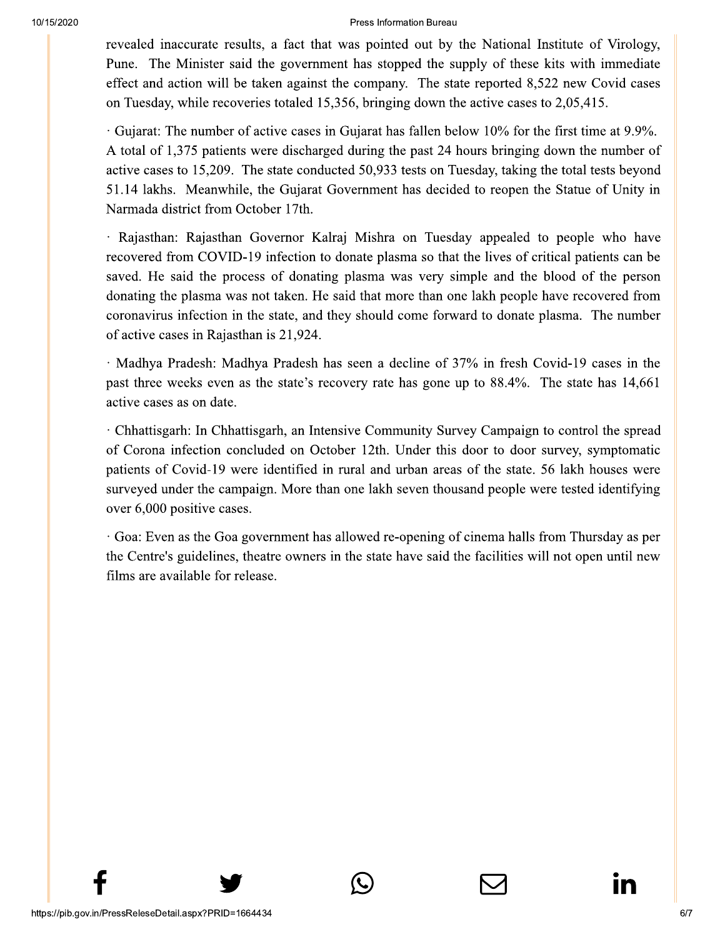#### Press Information Bureau

revealed inaccurate results, a fact that was pointed out by the National Institute of Virology, Pune. The Minister said the government has stopped the supply of these kits with immediate effect and action will be taken against the company. The state reported 8,522 new Covid cases on Tuesday, while recoveries totaled 15,356, bringing down the active cases to 2,05,415.

Gujarat: The number of active cases in Gujarat has fallen below 10% for the first time at 9.9%. A total of 1,375 patients were discharged during the past 24 hours bringing down the number of active cases to 15,209. The state conducted 50,933 tests on Tuesday, taking the total tests beyond 51.14 lakhs. Meanwhile, the Gujarat Government has decided to reopen the Statue of Unity in Narmada district from October 17th.

· Rajasthan: Rajasthan Governor Kalraj Mishra on Tuesday appealed to people who have recovered from COVID-19 infection to donate plasma so that the lives of critical patients can be saved. He said the process of donating plasma was very simple and the blood of the person donating the plasma was not taken. He said that more than one lakh people have recovered from coronavirus infection in the state, and they should come forward to donate plasma. The number of active cases in Rajasthan is 21,924.

· Madhya Pradesh: Madhya Pradesh has seen a decline of 37% in fresh Covid-19 cases in the past three weeks even as the state's recovery rate has gone up to 88.4%. The state has 14,661 active cases as on date.

· Chhattisgarh: In Chhattisgarh, an Intensive Community Survey Campaign to control the spread of Corona infection concluded on October 12th. Under this door to door survey, symptomatic patients of Covid-19 were identified in rural and urban areas of the state. 56 lakh houses were surveyed under the campaign. More than one lakh seven thousand people were tested identifying over 6,000 positive cases.

· Goa: Even as the Goa government has allowed re-opening of cinema halls from Thursday as per the Centre's guidelines, theatre owners in the state have said the facilities will not open until new films are available for release.

In